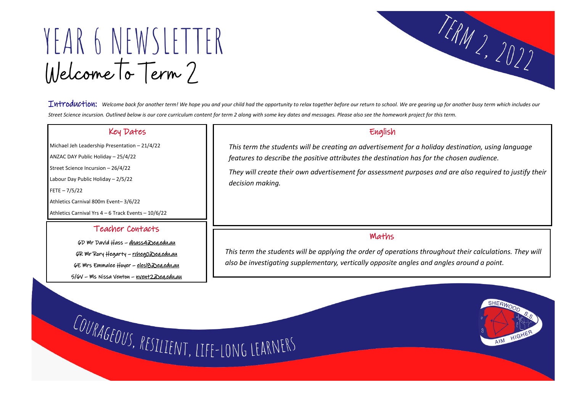YEAR 6 NEWSLETTER Welcome To Term 2

Introduction: *Welcome back for another term! We hope you and your child had the opportunity to relax together before our return to school. We are gearing up for another busy term which includes our Street Science incursion. Outlined below is our core curriculum content for term 2 along with some key dates and messages. Please also see the homework project for this term.* 

## Key Dates

Michael Jeh Leadership Presentation – 21/4/22

ANZAC DAY Public Holiday – 25/4/22

Street Science Incursion – 26/4/22

Labour Day Public Holiday – 2/5/22

FETE – 7/5/22

 $\overline{\phantom{a}}$ 

Athletics Carnival 800m Event– 3/6/22

Athletics Carnival Yrs 4 – 6 Track Events – 10/6/22

# English

*This term the students will be creating an advertisement for a holiday destination, using language features to describe the positive attributes the destination has for the chosen audience. They will create their own advertisement for assessment purposes and are also required to justify their decision making.* 

## Teacher Contacts

6D Mr David Hass – [dhass4@eq.edu.au](mailto:dhass4@eq.edu.au) 6R Mr Rory Hegarty – [rcheg0@eq.edu.au](mailto:rcheg0@eq.edu.au) 6E Mrs Emmalee Hoyer – [elesl8@eq.edu.au](mailto:elesl8@eq.edu.au) 5/6V – Ms Nissa Venton – [nvent2@eq.edu.au](mailto:nvent2@eq.edu.au)

# Maths

*This term the students will be applying the order of operations throughout their calculations. They will also be investigating supplementary, vertically opposite angles and angles around a point.*

COURAGEOUS, RESILIENT, LIFE-LONG LEARNERS